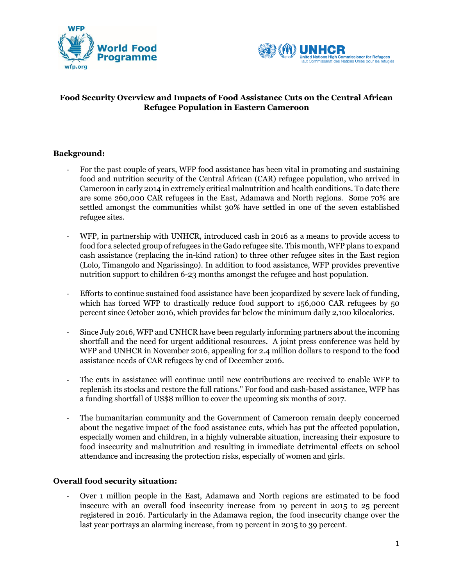



# **Food Security Overview and Impacts of Food Assistance Cuts on the Central African Refugee Population in Eastern Cameroon**

## **Background:**

- For the past couple of years, WFP food assistance has been vital in promoting and sustaining food and nutrition security of the Central African (CAR) refugee population, who arrived in Cameroon in early 2014 in extremely critical malnutrition and health conditions. To date there are some 260,000 CAR refugees in the East, Adamawa and North regions. Some 70% are settled amongst the communities whilst 30% have settled in one of the seven established refugee sites.
- WFP, in partnership with UNHCR, introduced cash in 2016 as a means to provide access to food for a selected group of refugees in the Gado refugee site. This month, WFP plans to expand cash assistance (replacing the in-kind ration) to three other refugee sites in the East region (Lolo, Timangolo and Ngarissingo). In addition to food assistance, WFP provides preventive nutrition support to children 6-23 months amongst the refugee and host population.
- Efforts to continue sustained food assistance have been jeopardized by severe lack of funding, which has forced WFP to drastically reduce food support to 156,000 CAR refugees by 50 percent since October 2016, which provides far below the minimum daily 2,100 kilocalories.
- Since July 2016, WFP and UNHCR have been regularly informing partners about the incoming shortfall and the need for urgent additional resources. A joint press conference was held by WFP and UNHCR in November 2016, appealing for 2.4 million dollars to respond to the food assistance needs of CAR refugees by end of December 2016.
- The cuts in assistance will continue until new contributions are received to enable WFP to replenish its stocks and restore the full rations." For food and cash-based assistance, WFP has a funding shortfall of US\$8 million to cover the upcoming six months of 2017.
- The humanitarian community and the Government of Cameroon remain deeply concerned about the negative impact of the food assistance cuts, which has put the affected population, especially women and children, in a highly vulnerable situation, increasing their exposure to food insecurity and malnutrition and resulting in immediate detrimental effects on school attendance and increasing the protection risks, especially of women and girls.

## **Overall food security situation:**

- Over 1 million people in the East, Adamawa and North regions are estimated to be food insecure with an overall food insecurity increase from 19 percent in 2015 to 25 percent registered in 2016. Particularly in the Adamawa region, the food insecurity change over the last year portrays an alarming increase, from 19 percent in 2015 to 39 percent.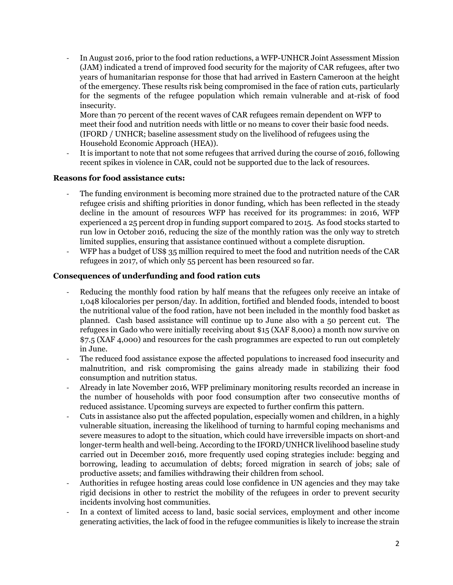- In August 2016, prior to the food ration reductions, a WFP-UNHCR Joint Assessment Mission (JAM) indicated a trend of improved food security for the majority of CAR refugees, after two years of humanitarian response for those that had arrived in Eastern Cameroon at the height of the emergency. These results risk being compromised in the face of ration cuts, particularly for the segments of the refugee population which remain vulnerable and at-risk of food insecurity.

More than 70 percent of the recent waves of CAR refugees remain dependent on WFP to meet their food and nutrition needs with little or no means to cover their basic food needs. (IFORD / UNHCR; baseline assessment study on the livelihood of refugees using the Household Economic Approach (HEA)).

It is important to note that not some refugees that arrived during the course of 2016, following recent spikes in violence in CAR, could not be supported due to the lack of resources.

#### **Reasons for food assistance cuts:**

- The funding environment is becoming more strained due to the protracted nature of the CAR refugee crisis and shifting priorities in donor funding, which has been reflected in the steady decline in the amount of resources WFP has received for its programmes: in 2016, WFP experienced a 25 percent drop in funding support compared to 2015. As food stocks started to run low in October 2016, reducing the size of the monthly ration was the only way to stretch limited supplies, ensuring that assistance continued without a complete disruption.
- WFP has a budget of US\$ 35 million required to meet the food and nutrition needs of the CAR refugees in 2017, of which only 55 percent has been resourced so far.

#### **Consequences of underfunding and food ration cuts**

- Reducing the monthly food ration by half means that the refugees only receive an intake of 1,048 kilocalories per person/day. In addition, fortified and blended foods, intended to boost the nutritional value of the food ration, have not been included in the monthly food basket as planned. Cash based assistance will continue up to June also with a 50 percent cut. The refugees in Gado who were initially receiving about \$15 (XAF 8,000) a month now survive on \$7.5 (XAF 4,000) and resources for the cash programmes are expected to run out completely in June.
- The reduced food assistance expose the affected populations to increased food insecurity and malnutrition, and risk compromising the gains already made in stabilizing their food consumption and nutrition status.
- Already in late November 2016, WFP preliminary monitoring results recorded an increase in the number of households with poor food consumption after two consecutive months of reduced assistance. Upcoming surveys are expected to further confirm this pattern.
- Cuts in assistance also put the affected population, especially women and children, in a highly vulnerable situation, increasing the likelihood of turning to harmful coping mechanisms and severe measures to adopt to the situation, which could have irreversible impacts on short-and longer-term health and well-being. According to the IFORD/UNHCR livelihood baseline study carried out in December 2016, more frequently used coping strategies include: begging and borrowing, leading to accumulation of debts; forced migration in search of jobs; sale of productive assets; and families withdrawing their children from school.
- Authorities in refugee hosting areas could lose confidence in UN agencies and they may take rigid decisions in other to restrict the mobility of the refugees in order to prevent security incidents involving host communities.
- In a context of limited access to land, basic social services, employment and other income generating activities, the lack of food in the refugee communities is likely to increase the strain